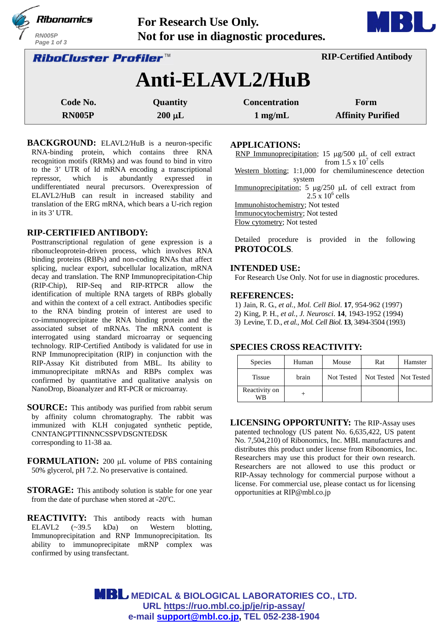|                                     | Ribonomics<br><b>RN005P</b><br>Page 1 of 3 | <b>For Research Use Only.</b><br>Not for use in diagnostic procedures. |                               |                          |  |  |
|-------------------------------------|--------------------------------------------|------------------------------------------------------------------------|-------------------------------|--------------------------|--|--|
| <i><b>RiboCluster Profiler™</b></i> |                                            |                                                                        | <b>RIP-Certified Antibody</b> |                          |  |  |
|                                     | Anti-ELAVL2/HuB                            |                                                                        |                               |                          |  |  |
|                                     | Code No.                                   | Quantity                                                               | <b>Concentration</b>          | Form                     |  |  |
|                                     | <b>RN005P</b>                              | $200 \mu L$                                                            | $1 \text{ mg/mL}$             | <b>Affinity Purified</b> |  |  |

**BACKGROUND:** ELAVL2/HuB is a neuron-specific RNA-binding protein, which contains three RNA recognition motifs (RRMs) and was found to bind in vitro to the 3' UTR of Id mRNA encoding a transcriptional repressor, which is abundantly expressed in undifferentiated neural precursors. Overexpression of ELAVL2/HuB can result in increased stability and translation of the ERG mRNA, which bears a U-rich region in its 3' UTR.

# **RIP-CERTIFIED ANTIBODY:**

Posttranscriptional regulation of gene expression is a ribonucleoprotein-driven process, which involves RNA binding proteins (RBPs) and non-coding RNAs that affect splicing, nuclear export, subcellular localization, mRNA decay and translation. The RNP Immunoprecipitation-Chip (RIP-Chip), RIP-Seq and RIP-RTPCR allow the identification of multiple RNA targets of RBPs globally and within the context of a cell extract. Antibodies specific to the RNA binding protein of interest are used to co-immunoprecipitate the RNA binding protein and the associated subset of mRNAs. The mRNA content is interrogated using standard microarray or sequencing technology. RIP-Certified Antibody is validated for use in RNP Immunoprecipitation (RIP) in conjunction with the RIP-Assay Kit distributed from MBL. Its ability to immunoprecipitate mRNAs and RBPs complex was confirmed by quantitative and qualitative analysis on NanoDrop, Bioanalyzer and RT-PCR or microarray.

**SOURCE:** This antibody was purified from rabbit serum by affinity column chromatography. The rabbit was immunized with KLH conjugated synthetic peptide, CNNTANGPTTINNNCSSPVDSGNTEDSK corresponding to 11-38 aa.

FORMULATION: 200 µL volume of PBS containing 50% glycerol, pH 7.2. No preservative is contained.

**STORAGE:** This antibody solution is stable for one year from the date of purchase when stored at  $-20^{\circ}$ C.

**REACTIVITY:** This antibody reacts with human ELAVL2 (~39.5 kDa) on Western blotting, Immunoprecipitation and RNP Immunoprecipitation. Its ability to immunoprecipitate mRNP complex was confirmed by using transfectant.

**APPLICATIONS:** 

RNP Immunoprecipitation; 15  $\mu$ g/500  $\mu$ L of cell extract from  $1.5 \times 10^7$  cells

a base

Western blotting; 1:1,000 for chemiluminescence detection system

Immunoprecipitation; 5  $\mu$ g/250  $\mu$ L of cell extract from  $2.5 \times 10^6$  cells

Immunohistochemistry; Not tested

Immunocytochemistry; Not tested

Flow cytometry; Not tested

Detailed procedure is provided in the following **PROTOCOLS**.

#### **INTENDED USE:**

For Research Use Only. Not for use in diagnostic procedures.

#### **REFERENCES:**

- 1) Jain, R. G., *et al., Mol. Cell Biol*. **17**, 954-962 (1997)
- 2) King, P. H., *et al., J. Neurosci*. **14**, 1943-1952 (1994)
- 3) Levine, T. D., *et al., Mol. Cell Biol.* **13**, 3494-3504 (1993)

## **SPECIES CROSS REACTIVITY:**

| <b>Species</b>      | Human | Mouse      | Rat                     | Hamster |
|---------------------|-------|------------|-------------------------|---------|
| <b>Tissue</b>       | brain | Not Tested | Not Tested   Not Tested |         |
| Reactivity on<br>WR |       |            |                         |         |

**LICENSING OPPORTUNITY:** The RIP-Assay uses patented technology (US patent No. 6,635,422, US patent No. 7,504,210) of Ribonomics, Inc. MBL manufactures and distributes this product under license from Ribonomics, Inc. Researchers may use this product for their own research. Researchers are not allowed to use this product or RIP-Assay technology for commercial purpose without a license. For commercial use, please contact us for licensing opportunities at RIP@mbl.co.jp

**MBL** MEDICAL & BIOLOGICAL LABORATORIES CO., LTD. **URL https://ruo.mbl.co.jp/je/rip-assay/ e-mail support@mbl.co.jp, TEL 052-238-1904**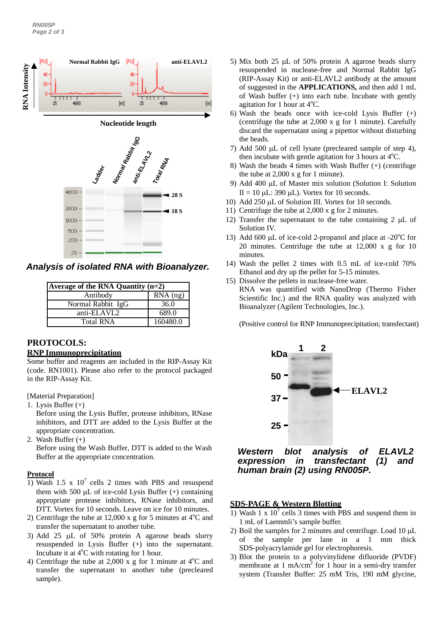

| <b>Average of the RNA Quantity <math>(n=2)</math></b> |            |
|-------------------------------------------------------|------------|
| Antibody                                              | $RNA$ (ng) |
| Normal Rabbit IgG                                     | 36.0       |
| anti-ELAVL2                                           | 689.0      |
| <b>Total RNA</b>                                      | 160480.0   |

# **PROTOCOLS:**

#### **RNP Immunoprecipitation**

Some buffer and reagents are included in the RIP-Assay Kit (code. RN1001). Please also refer to the protocol packaged in the RIP-Assay Kit.

[Material Preparation]

1. Lysis Buffer (+)

Before using the Lysis Buffer, protease inhibitors, RNase inhibitors, and DTT are added to the Lysis Buffer at the appropriate concentration.

2. Wash Buffer (+)

Before using the Wash Buffer, DTT is added to the Wash Buffer at the appropriate concentration.

#### **Protocol**

- 1) Wash 1.5 x  $10^7$  cells 2 times with PBS and resuspend them with 500  $\mu$ L of ice-cold Lysis Buffer (+) containing appropriate protease inhibitors, RNase inhibitors, and DTT. Vortex for 10 seconds. Leave on ice for 10 minutes.
- 2) Centrifuge the tube at  $12,000$  x g for 5 minutes at  $4^{\circ}$ C and transfer the supernatant to another tube.
- 3) Add 25  $\mu$ L of 50% protein A agarose beads slurry resuspended in Lysis Buffer (+) into the supernatant. Incubate it at  $4^{\circ}$ C with rotating for 1 hour.
- 4) Centrifuge the tube at 2,000 x g for 1 minute at  $4^{\circ}$ C and transfer the supernatant to another tube (precleared sample).
- 5) Mix both 25  $\mu$ L of 50% protein A agarose beads slurry resuspended in nuclease-free and Normal Rabbit IgG (RIP-Assay Kit) or anti-ELAVL2 antibody at the amount of suggested in the **APPLICATIONS,** and then add 1 mL of Wash buffer (+) into each tube. Incubate with gently agitation for 1 hour at 4°C.
- 6) Wash the beads once with ice-cold Lysis Buffer (+) (centrifuge the tube at 2,000 x g for 1 minute). Carefully discard the supernatant using a pipettor without disturbing the beads.
- 7) Add 500  $\mu$ L of cell lysate (precleared sample of step 4), then incubate with gentle agitation for 3 hours at  $4^{\circ}$ C.
- 8) Wash the beads 4 times with Wash Buffer (+) (centrifuge the tube at 2,000 x g for 1 minute).
- 9) Add 400 µL of Master mix solution (Solution I: Solution II = 10  $\mu$ L: 390  $\mu$ L). Vortex for 10 seconds.
- 10) Add 250 µL of Solution III. Vortex for 10 seconds.
- 11) Centrifuge the tube at 2,000 x g for 2 minutes.
- 12) Transfer the supernatant to the tube containing  $2 \mu L$  of Solution IV.
- 13) Add 600 µL of ice-cold 2-propanol and place at -20 $^{\circ}$ C for 20 minutes. Centrifuge the tube at 12,000 x g for 10 minutes.
- 14) Wash the pellet 2 times with 0.5 mL of ice-cold 70% Ethanol and dry up the pellet for 5-15 minutes.
- 15) Dissolve the pellets in nuclease-free water.
- RNA was quantified with NanoDrop (Thermo Fisher Scientific Inc.) and the RNA quality was analyzed with Bioanalyzer (Agilent Technologies, Inc.).

(Positive control for RNP Immunoprecipitation; transfectant)



*Western blot analysis of ELAVL2 expression in transfectant (1) and human brain (2) using RN005P.*

#### **SDS-PAGE & Western Blotting**

- 1) Wash 1 x  $10^7$  cells 3 times with PBS and suspend them in 1 mL of Laemmli's sample buffer.
- 2) Boil the samples for 2 minutes and centrifuge. Load  $10 \mu L$ of the sample per lane in a 1 mm thick SDS-polyacrylamide gel for electrophoresis.
- 3) Blot the protein to a polyvinylidene difluoride (PVDF) membrane at 1 mA/cm<sup>2</sup> for 1 hour in a semi-dry transfer system (Transfer Buffer: 25 mM Tris, 190 mM glycine,